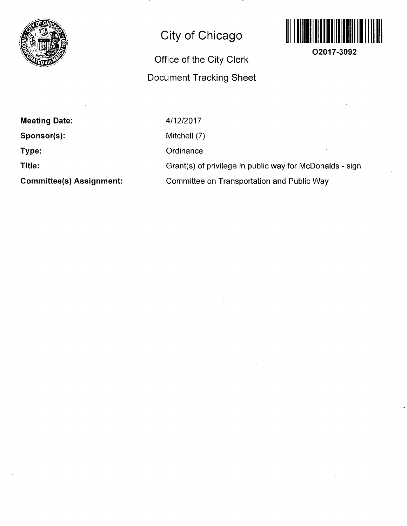

## **City of Chicago**

## **Office of the City Clerk Document Tracking Sheet**



**O2017-3092** 

**Meeting Date:** 

**Sponsor(s):** 

**Type:** 

**Title:** 

**Committee(s) Assignment:** 

4/12/2017

Mitchell (7)

**Ordinance** 

Grant(s) of privilege in public way for McDonalds - sign

Committee on Transportation and Public Way

 $\mathbf{I}$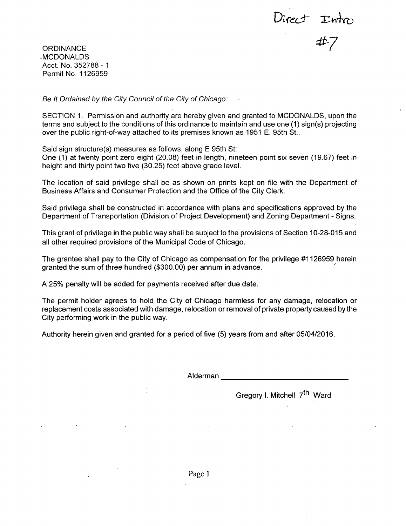Direct Intro<br>#7

**ORDINANCE** -MCDONALDS Acct. No. 352788 - 1 Permit No. 1126959

*Be It Ordained by the City Council of the City of Chicago:* 

SECTION 1. Permission and authority are hereby given and granted to MCDONALDS, upon the terms and subject to the conditions of this ordinance to maintain and use one (1) sign(s) projecting over the public right-of-way attached to its premises known as 1951 E. 95th St..

Said sign structure(s) measures as follows; along E 95th St:

One (1) at twenty point zero eight (20.08) feet in length, nineteen point six seven (19.67) feet in height and thirty point two five (30.25) feet above grade level.

The location of said privilege shall be as shown on prints kept on file with the Department of Business Affairs and Consumer Protection and the Office of the City Clerk.

Said privilege shall be constructed in accordance with plans and specifications approved by the Department of Transportation (Division of Project Development) and Zoning Department - Signs.

This grant of privilege in the public way shall be subject to the provisions of Section 10-28-015 and all other required provisions of the Municipal Code of Chicago.

The grantee shall pay to the City of Chicago as compensation for the privilege #1126959 herein granted the sum of three hundred (\$300.00) per annum in advance.

A 25% penalty will be added for payments received after due date.

The permit holder agrees to hold the City of Chicago harmless for any damage, relocation or replacement costs associated with damage, relocation or removal of private property caused bythe City performing work in the public way.

Authority herein given and granted for a period of five (5) years from and after 05/04/2016.

Alderman

Gregory I. Mitchell 7<sup>th</sup> Ward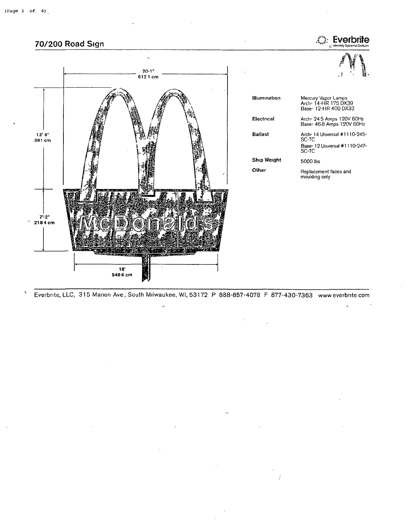

Everbrite, LLC, 315 Marion Ave , South Milwaukee, Wl, 531 72 P 888-857-4078 F 877-430-7363 www everbrite com